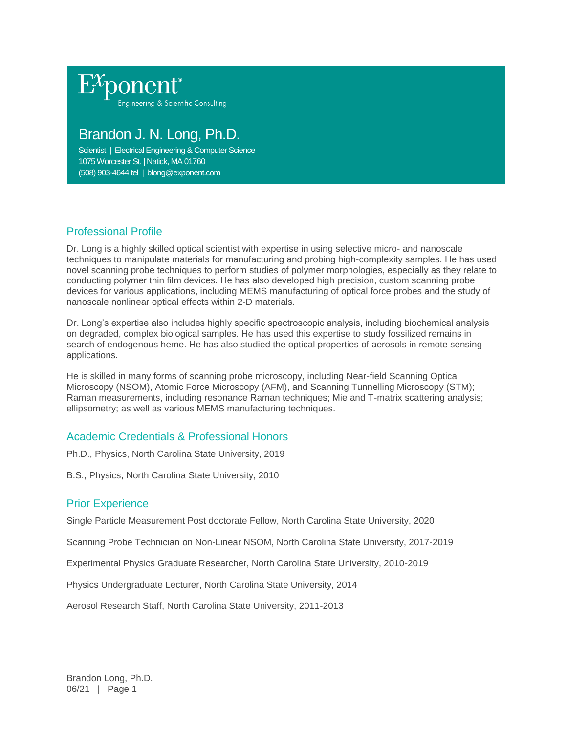

# Brandon J. N. Long, Ph.D.

Scientist | Electrical Engineering & Computer Science 1075 Worcester St. | Natick, MA 01760 (508) 903-4644 tel | blong@exponent.com

# Professional Profile

Dr. Long is a highly skilled optical scientist with expertise in using selective micro- and nanoscale techniques to manipulate materials for manufacturing and probing high-complexity samples. He has used novel scanning probe techniques to perform studies of polymer morphologies, especially as they relate to conducting polymer thin film devices. He has also developed high precision, custom scanning probe devices for various applications, including MEMS manufacturing of optical force probes and the study of nanoscale nonlinear optical effects within 2-D materials.

Dr. Long's expertise also includes highly specific spectroscopic analysis, including biochemical analysis on degraded, complex biological samples. He has used this expertise to study fossilized remains in search of endogenous heme. He has also studied the optical properties of aerosols in remote sensing applications.

He is skilled in many forms of scanning probe microscopy, including Near-field Scanning Optical Microscopy (NSOM), Atomic Force Microscopy (AFM), and Scanning Tunnelling Microscopy (STM); Raman measurements, including resonance Raman techniques; Mie and T-matrix scattering analysis; ellipsometry; as well as various MEMS manufacturing techniques.

# Academic Credentials & Professional Honors

Ph.D., Physics, North Carolina State University, 2019

B.S., Physics, North Carolina State University, 2010

#### Prior Experience

Single Particle Measurement Post doctorate Fellow, North Carolina State University, 2020

Scanning Probe Technician on Non-Linear NSOM, North Carolina State University, 2017-2019

Experimental Physics Graduate Researcher, North Carolina State University, 2010-2019

Physics Undergraduate Lecturer, North Carolina State University, 2014

Aerosol Research Staff, North Carolina State University, 2011-2013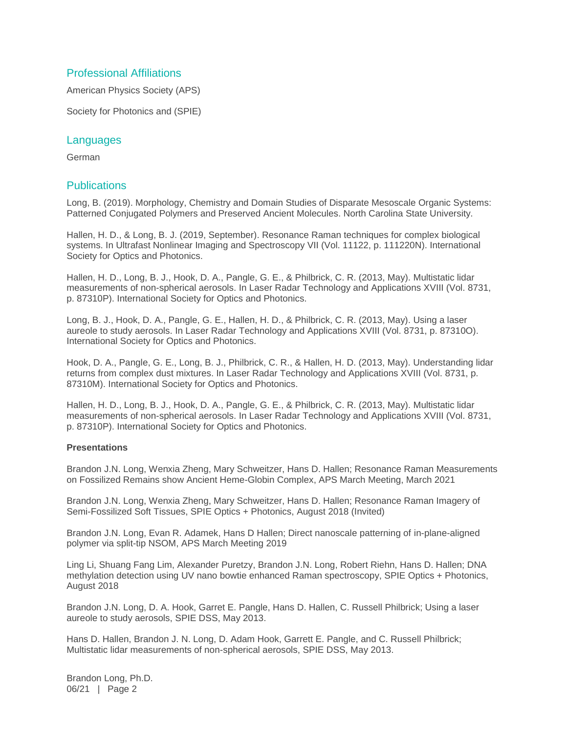### Professional Affiliations

American Physics Society (APS)

Society for Photonics and (SPIE)

#### Languages

German

#### **Publications**

Long, B. (2019). Morphology, Chemistry and Domain Studies of Disparate Mesoscale Organic Systems: Patterned Conjugated Polymers and Preserved Ancient Molecules. North Carolina State University.

Hallen, H. D., & Long, B. J. (2019, September). Resonance Raman techniques for complex biological systems. In Ultrafast Nonlinear Imaging and Spectroscopy VII (Vol. 11122, p. 111220N). International Society for Optics and Photonics.

Hallen, H. D., Long, B. J., Hook, D. A., Pangle, G. E., & Philbrick, C. R. (2013, May). Multistatic lidar measurements of non-spherical aerosols. In Laser Radar Technology and Applications XVIII (Vol. 8731, p. 87310P). International Society for Optics and Photonics.

Long, B. J., Hook, D. A., Pangle, G. E., Hallen, H. D., & Philbrick, C. R. (2013, May). Using a laser aureole to study aerosols. In Laser Radar Technology and Applications XVIII (Vol. 8731, p. 87310O). International Society for Optics and Photonics.

Hook, D. A., Pangle, G. E., Long, B. J., Philbrick, C. R., & Hallen, H. D. (2013, May). Understanding lidar returns from complex dust mixtures. In Laser Radar Technology and Applications XVIII (Vol. 8731, p. 87310M). International Society for Optics and Photonics.

Hallen, H. D., Long, B. J., Hook, D. A., Pangle, G. E., & Philbrick, C. R. (2013, May). Multistatic lidar measurements of non-spherical aerosols. In Laser Radar Technology and Applications XVIII (Vol. 8731, p. 87310P). International Society for Optics and Photonics.

#### **Presentations**

Brandon J.N. Long, Wenxia Zheng, Mary Schweitzer, Hans D. Hallen; Resonance Raman Measurements on Fossilized Remains show Ancient Heme-Globin Complex, APS March Meeting, March 2021

Brandon J.N. Long, Wenxia Zheng, Mary Schweitzer, Hans D. Hallen; Resonance Raman Imagery of Semi-Fossilized Soft Tissues, SPIE Optics + Photonics, August 2018 (Invited)

Brandon J.N. Long, Evan R. Adamek, Hans D Hallen; Direct nanoscale patterning of in-plane-aligned polymer via split-tip NSOM, APS March Meeting 2019

Ling Li, Shuang Fang Lim, Alexander Puretzy, Brandon J.N. Long, Robert Riehn, Hans D. Hallen; DNA methylation detection using UV nano bowtie enhanced Raman spectroscopy, SPIE Optics + Photonics, August 2018

Brandon J.N. Long, D. A. Hook, Garret E. Pangle, Hans D. Hallen, C. Russell Philbrick; Using a laser aureole to study aerosols, SPIE DSS, May 2013.

Hans D. Hallen, Brandon J. N. Long, D. Adam Hook, Garrett E. Pangle, and C. Russell Philbrick; Multistatic lidar measurements of non-spherical aerosols, SPIE DSS, May 2013.

Brandon Long, Ph.D. 06/21 | Page 2